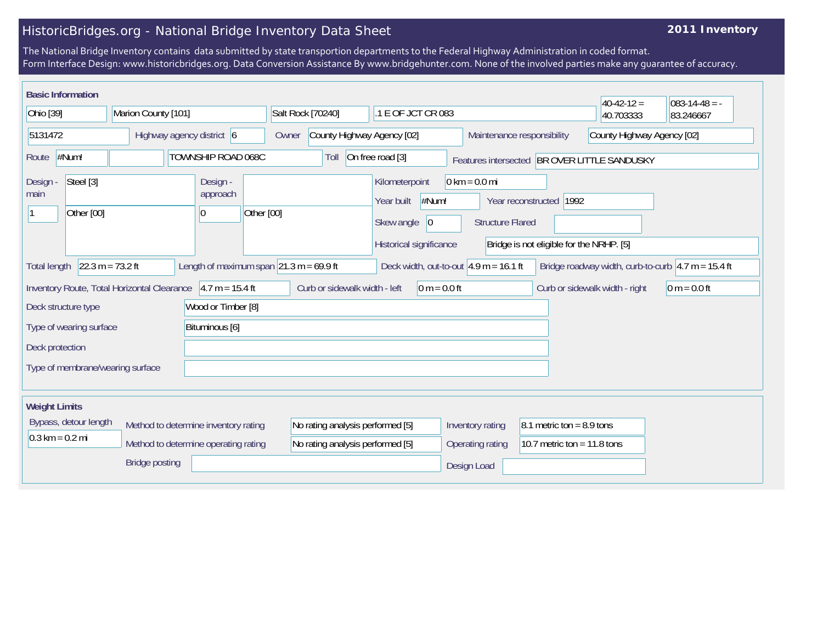## HistoricBridges.org - National Bridge Inventory Data Sheet

## **2011 Inventory**

The National Bridge Inventory contains data submitted by state transportion departments to the Federal Highway Administration in coded format. Form Interface Design: www.historicbridges.org. Data Conversion Assistance By www.bridgehunter.com. None of the involved parties make any guarantee of accuracy.

| <b>Basic Information</b>                                                                                                                                                                                             |                           |                                         |                                                                      |                                                                                       |                                                            |                                                                     | $40-42-12 =$               | $083 - 14 - 48 = -$ |  |
|----------------------------------------------------------------------------------------------------------------------------------------------------------------------------------------------------------------------|---------------------------|-----------------------------------------|----------------------------------------------------------------------|---------------------------------------------------------------------------------------|------------------------------------------------------------|---------------------------------------------------------------------|----------------------------|---------------------|--|
| Ohio [39]<br>Marion County [101]                                                                                                                                                                                     |                           | Salt Rock [70240]<br>.1 E OF JCT CR 083 |                                                                      |                                                                                       |                                                            | 40.703333                                                           | 83.246667                  |                     |  |
| 5131472                                                                                                                                                                                                              | Highway agency district 6 |                                         | Owner                                                                | County Highway Agency [02]<br>Maintenance responsibility                              |                                                            |                                                                     | County Highway Agency [02] |                     |  |
| #Num!<br>Route                                                                                                                                                                                                       |                           | TOWNSHIP ROAD 068C                      | Toll                                                                 | On free road [3]                                                                      | Features intersected BR OVER LITTLE SANDUSKY               |                                                                     |                            |                     |  |
| Steel [3]<br>Design -<br>main<br>Other [00]                                                                                                                                                                          |                           | Design -<br>approach<br>Other [00]<br>0 |                                                                      | Kilometerpoint<br>#Num!<br>Year built<br>Skew angle<br> 0 <br>Historical significance | $0 \text{ km} = 0.0 \text{ mi}$<br><b>Structure Flared</b> | Year reconstructed 1992<br>Bridge is not eligible for the NRHP. [5] |                            |                     |  |
| $22.3 m = 73.2 ft$<br>Length of maximum span $\sqrt{21.3}$ m = 69.9 ft<br>Deck width, out-to-out $4.9$ m = 16.1 ft<br>Bridge roadway width, curb-to-curb $ 4.7 \text{ m} = 15.4 \text{ ft}$<br><b>Total length</b>   |                           |                                         |                                                                      |                                                                                       |                                                            |                                                                     |                            |                     |  |
| $4.7 m = 15.4 ft$<br>Curb or sidewalk width - left<br>$0 m = 0.0 ft$<br>$0 m = 0.0 ft$<br>Inventory Route, Total Horizontal Clearance<br>Curb or sidewalk width - right<br>Wood or Timber [8]<br>Deck structure type |                           |                                         |                                                                      |                                                                                       |                                                            |                                                                     |                            |                     |  |
| Bituminous [6]<br>Type of wearing surface                                                                                                                                                                            |                           |                                         |                                                                      |                                                                                       |                                                            |                                                                     |                            |                     |  |
| Deck protection                                                                                                                                                                                                      |                           |                                         |                                                                      |                                                                                       |                                                            |                                                                     |                            |                     |  |
| Type of membrane/wearing surface                                                                                                                                                                                     |                           |                                         |                                                                      |                                                                                       |                                                            |                                                                     |                            |                     |  |
| <b>Weight Limits</b>                                                                                                                                                                                                 |                           |                                         |                                                                      |                                                                                       |                                                            |                                                                     |                            |                     |  |
| Bypass, detour length<br>Method to determine inventory rating<br>$0.3 \text{ km} = 0.2 \text{ mi}$<br>Method to determine operating rating                                                                           |                           |                                         | No rating analysis performed [5]<br>No rating analysis performed [5] |                                                                                       | Inventory rating<br>Operating rating                       | 8.1 metric ton = 8.9 tons<br>10.7 metric ton = $11.8$ tons          |                            |                     |  |
|                                                                                                                                                                                                                      | <b>Bridge posting</b>     |                                         |                                                                      |                                                                                       | Design Load                                                |                                                                     |                            |                     |  |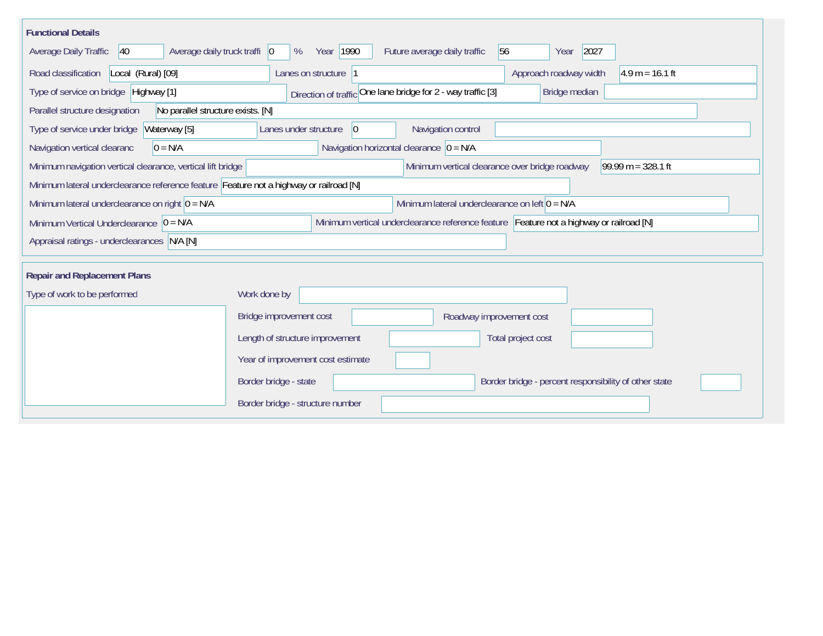| <b>Functional Details</b>                                                              |                                                                                         |
|----------------------------------------------------------------------------------------|-----------------------------------------------------------------------------------------|
| $ 40\rangle$<br>Average daily truck traffi   0<br>Average Daily Traffic                | Year 1990<br>Future average daily traffic<br>56<br>2027<br>%<br>Year                    |
| Road classification<br>Local (Rural) [09]                                              | Approach roadway width<br>$4.9 m = 16.1 ft$<br>Lanes on structure  1                    |
| Type of service on bridge Highway [1]                                                  | Direction of traffic One lane bridge for 2 - way traffic [3]<br>Bridge median           |
| Parallel structure designation<br>No parallel structure exists. [N]                    |                                                                                         |
| Waterway [5]<br>Type of service under bridge                                           | Navigation control<br> 0 <br>Lanes under structure                                      |
| $0 = N/A$<br>Navigation vertical clearanc                                              | Navigation horizontal clearance $ 0 = N/A$                                              |
| Minimum navigation vertical clearance, vertical lift bridge                            | Minimum vertical clearance over bridge roadway<br>$99.99 m = 328.1 ft$                  |
| Minimum lateral underclearance reference feature Feature not a highway or railroad [N] |                                                                                         |
| Minimum lateral underclearance on right $0 = N/A$                                      | Minimum lateral underclearance on left $0 = N/A$                                        |
| Minimum Vertical Underclearance $ 0 = N/A$                                             | Minimum vertical underclearance reference feature Feature not a highway or railroad [N] |
| Appraisal ratings - underclearances N/A [N]                                            |                                                                                         |
|                                                                                        |                                                                                         |
| <b>Repair and Replacement Plans</b>                                                    |                                                                                         |
| Type of work to be performed                                                           | Work done by                                                                            |
|                                                                                        | Bridge improvement cost<br>Roadway improvement cost                                     |
|                                                                                        | Length of structure improvement<br>Total project cost                                   |
|                                                                                        | Year of improvement cost estimate                                                       |
|                                                                                        | Border bridge - state<br>Border bridge - percent responsibility of other state          |
|                                                                                        | Border bridge - structure number                                                        |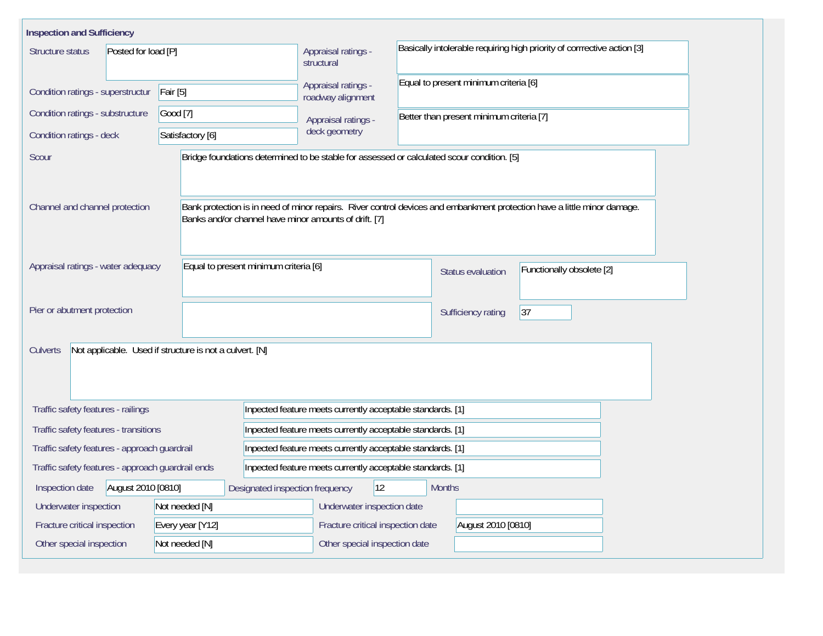| <b>Inspection and Sufficiency</b>                                   |                                       |                                                                                            |                                                                                                              |  |                                          |                                                                                                                          |  |  |
|---------------------------------------------------------------------|---------------------------------------|--------------------------------------------------------------------------------------------|--------------------------------------------------------------------------------------------------------------|--|------------------------------------------|--------------------------------------------------------------------------------------------------------------------------|--|--|
| Posted for load [P]<br>Structure status                             |                                       |                                                                                            | Basically intolerable requiring high priority of corrrective action [3]<br>Appraisal ratings -<br>structural |  |                                          |                                                                                                                          |  |  |
| Condition ratings - superstructur                                   | Fair [5]                              |                                                                                            | Appraisal ratings -<br>roadway alignment                                                                     |  |                                          |                                                                                                                          |  |  |
| Condition ratings - substructure                                    | Good [7]                              |                                                                                            | Appraisal ratings -                                                                                          |  | Better than present minimum criteria [7] |                                                                                                                          |  |  |
| Condition ratings - deck                                            | Satisfactory [6]                      |                                                                                            | deck geometry                                                                                                |  |                                          |                                                                                                                          |  |  |
| Scour                                                               |                                       | Bridge foundations determined to be stable for assessed or calculated scour condition. [5] |                                                                                                              |  |                                          |                                                                                                                          |  |  |
| Channel and channel protection                                      |                                       | Banks and/or channel have minor amounts of drift. [7]                                      |                                                                                                              |  |                                          | Bank protection is in need of minor repairs. River control devices and embankment protection have a little minor damage. |  |  |
| Appraisal ratings - water adequacy                                  |                                       | Equal to present minimum criteria [6]                                                      |                                                                                                              |  | <b>Status evaluation</b>                 | Functionally obsolete [2]                                                                                                |  |  |
| Pier or abutment protection                                         |                                       |                                                                                            |                                                                                                              |  | Sufficiency rating                       | 37                                                                                                                       |  |  |
| Not applicable. Used if structure is not a culvert. [N]<br>Culverts |                                       |                                                                                            |                                                                                                              |  |                                          |                                                                                                                          |  |  |
| Traffic safety features - railings                                  |                                       |                                                                                            | Inpected feature meets currently acceptable standards. [1]                                                   |  |                                          |                                                                                                                          |  |  |
| Traffic safety features - transitions                               |                                       |                                                                                            | Inpected feature meets currently acceptable standards. [1]                                                   |  |                                          |                                                                                                                          |  |  |
| Traffic safety features - approach guardrail                        |                                       |                                                                                            | Inpected feature meets currently acceptable standards. [1]                                                   |  |                                          |                                                                                                                          |  |  |
| Traffic safety features - approach guardrail ends                   |                                       | Inpected feature meets currently acceptable standards. [1]                                 |                                                                                                              |  |                                          |                                                                                                                          |  |  |
| August 2010 [0810]<br>Inspection date                               | 12<br>Designated inspection frequency |                                                                                            | <b>Months</b>                                                                                                |  |                                          |                                                                                                                          |  |  |
| Not needed [N]<br>Underwater inspection                             |                                       | Underwater inspection date                                                                 |                                                                                                              |  |                                          |                                                                                                                          |  |  |
| Fracture critical inspection<br>Every year [Y12]                    |                                       |                                                                                            | Fracture critical inspection date<br>August 2010 [0810]                                                      |  |                                          |                                                                                                                          |  |  |
| Other special inspection                                            | Not needed [N]                        |                                                                                            | Other special inspection date                                                                                |  |                                          |                                                                                                                          |  |  |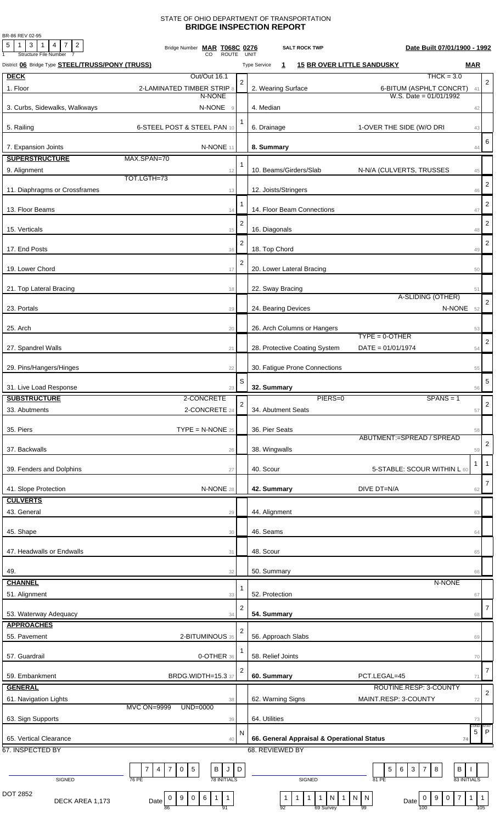## STATE OF OHIO DEPARTMENT OF TRANSPORTATION **BRIDGE INSPECTION REPORT**

BR-86 REV 02-95

| <b>Structure File Number</b><br>UNIT<br>CO<br><b>ROUTE</b><br>District 06 Bridge Type <b>STEEL/TRUSS/PONY (TRUSS)</b><br><b>15 BR OVER LITTLE SANDUSKY</b><br><b>Type Service</b><br>1<br>$THCK = 3.0$<br><b>DECK</b><br>Out/Out 16.1<br>$\overline{2}$<br>1. Floor<br>2. Wearing Surface<br>2-LAMINATED TIMBER STRIP 8<br>6-BITUM (ASPHLT CONCRT)<br>W.S. Date = $01/01/1992$<br>N-NONE<br>3. Curbs, Sidewalks, Walkways<br>N-NONE 9<br>4. Median<br>1<br>5. Railing<br>6-STEEL POST & STEEL PAN 10<br>6. Drainage<br>1-OVER THE SIDE (W/O DRI<br>7. Expansion Joints<br>N-NONE 11<br>8. Summary<br><b>SUPERSTRUCTURE</b><br>MAX.SPAN=70<br>$\mathbf{1}$<br>10. Beams/Girders/Slab<br>9. Alignment<br>N-N/A (CULVERTS, TRUSSES<br>12<br>TOT.LGTH=73<br>11. Diaphragms or Crossframes<br>12. Joists/Stringers<br>13<br>13. Floor Beams<br>14. Floor Beam Connections<br>14<br>$\overline{2}$<br>16. Diagonals<br>15. Verticals<br>15<br>$\mathbf{2}$<br>17. End Posts<br>18. Top Chord<br>16<br>$\overline{2}$<br>19. Lower Chord<br>20. Lower Lateral Bracing<br>17<br>21. Top Lateral Bracing<br>22. Sway Bracing<br>18<br>A-SLIDING (OTHER)<br>23. Portals<br>24. Bearing Devices<br>N-NONE<br>19<br>26. Arch Columns or Hangers<br>25. Arch<br>20<br>$TYPE = 0 - OTHER$<br>$DATE = 01/01/1974$<br>27. Spandrel Walls<br>28. Protective Coating System<br>21<br>30. Fatigue Prone Connections<br>29. Pins/Hangers/Hinges<br>22<br>S<br>32. Summary<br>31. Live Load Response<br>23<br><b>SUBSTRUCTURE</b><br>2-CONCRETE<br>PIERS=0<br>$SPANS = 1$<br>$\mathbf{2}$<br>2-CONCRETE 24<br>34. Abutment Seats<br>33. Abutments<br>$\mathsf{TYPE} = \mathsf{N}\text{-}\mathsf{NONE}$ 25<br>36. Pier Seats<br>35. Piers<br>ABUTMENT:=SPREAD / SPREAD<br>37. Backwalls<br>38. Wingwalls<br>26<br>40. Scour<br>39. Fenders and Dolphins<br>5-STABLE: SCOUR WITHIN L 60<br>27<br>41. Slope Protection<br>N-NONE 28<br>DIVE DT=N/A<br>42. Summary<br><b>CULVERTS</b><br>43. General<br>44. Alignment<br>29<br>45. Shape<br>46. Seams<br>30<br>48. Scour<br>47. Headwalls or Endwalls<br>31<br>49.<br>50. Summary<br>32<br>N-NONE<br><b>CHANNEL</b><br>1<br>51. Alignment<br>52. Protection<br>33<br>$\overline{2}$<br>54. Summary<br>53. Waterway Adequacy<br>34<br><b>APPROACHES</b><br>2<br>55. Pavement<br>2-BITUMINOUS 35<br>56. Approach Slabs<br>$\mathbf{1}$<br>57. Guardrail<br>58. Relief Joints<br>0-OTHER 36<br>2 | Date Built 07/01/1900 - 1992                            |
|----------------------------------------------------------------------------------------------------------------------------------------------------------------------------------------------------------------------------------------------------------------------------------------------------------------------------------------------------------------------------------------------------------------------------------------------------------------------------------------------------------------------------------------------------------------------------------------------------------------------------------------------------------------------------------------------------------------------------------------------------------------------------------------------------------------------------------------------------------------------------------------------------------------------------------------------------------------------------------------------------------------------------------------------------------------------------------------------------------------------------------------------------------------------------------------------------------------------------------------------------------------------------------------------------------------------------------------------------------------------------------------------------------------------------------------------------------------------------------------------------------------------------------------------------------------------------------------------------------------------------------------------------------------------------------------------------------------------------------------------------------------------------------------------------------------------------------------------------------------------------------------------------------------------------------------------------------------------------------------------------------------------------------------------------------------------------------------------------------------------------------------------------------------------------------------------------------------------------------------------------------------------------------------------------------------------------------------------------------------------------------------------------------------------|---------------------------------------------------------|
|                                                                                                                                                                                                                                                                                                                                                                                                                                                                                                                                                                                                                                                                                                                                                                                                                                                                                                                                                                                                                                                                                                                                                                                                                                                                                                                                                                                                                                                                                                                                                                                                                                                                                                                                                                                                                                                                                                                                                                                                                                                                                                                                                                                                                                                                                                                                                                                                                      | <b>MAR</b>                                              |
|                                                                                                                                                                                                                                                                                                                                                                                                                                                                                                                                                                                                                                                                                                                                                                                                                                                                                                                                                                                                                                                                                                                                                                                                                                                                                                                                                                                                                                                                                                                                                                                                                                                                                                                                                                                                                                                                                                                                                                                                                                                                                                                                                                                                                                                                                                                                                                                                                      |                                                         |
|                                                                                                                                                                                                                                                                                                                                                                                                                                                                                                                                                                                                                                                                                                                                                                                                                                                                                                                                                                                                                                                                                                                                                                                                                                                                                                                                                                                                                                                                                                                                                                                                                                                                                                                                                                                                                                                                                                                                                                                                                                                                                                                                                                                                                                                                                                                                                                                                                      | $\overline{2}$<br>41                                    |
|                                                                                                                                                                                                                                                                                                                                                                                                                                                                                                                                                                                                                                                                                                                                                                                                                                                                                                                                                                                                                                                                                                                                                                                                                                                                                                                                                                                                                                                                                                                                                                                                                                                                                                                                                                                                                                                                                                                                                                                                                                                                                                                                                                                                                                                                                                                                                                                                                      |                                                         |
|                                                                                                                                                                                                                                                                                                                                                                                                                                                                                                                                                                                                                                                                                                                                                                                                                                                                                                                                                                                                                                                                                                                                                                                                                                                                                                                                                                                                                                                                                                                                                                                                                                                                                                                                                                                                                                                                                                                                                                                                                                                                                                                                                                                                                                                                                                                                                                                                                      | 42                                                      |
|                                                                                                                                                                                                                                                                                                                                                                                                                                                                                                                                                                                                                                                                                                                                                                                                                                                                                                                                                                                                                                                                                                                                                                                                                                                                                                                                                                                                                                                                                                                                                                                                                                                                                                                                                                                                                                                                                                                                                                                                                                                                                                                                                                                                                                                                                                                                                                                                                      |                                                         |
|                                                                                                                                                                                                                                                                                                                                                                                                                                                                                                                                                                                                                                                                                                                                                                                                                                                                                                                                                                                                                                                                                                                                                                                                                                                                                                                                                                                                                                                                                                                                                                                                                                                                                                                                                                                                                                                                                                                                                                                                                                                                                                                                                                                                                                                                                                                                                                                                                      | 43                                                      |
|                                                                                                                                                                                                                                                                                                                                                                                                                                                                                                                                                                                                                                                                                                                                                                                                                                                                                                                                                                                                                                                                                                                                                                                                                                                                                                                                                                                                                                                                                                                                                                                                                                                                                                                                                                                                                                                                                                                                                                                                                                                                                                                                                                                                                                                                                                                                                                                                                      | 6<br>44                                                 |
|                                                                                                                                                                                                                                                                                                                                                                                                                                                                                                                                                                                                                                                                                                                                                                                                                                                                                                                                                                                                                                                                                                                                                                                                                                                                                                                                                                                                                                                                                                                                                                                                                                                                                                                                                                                                                                                                                                                                                                                                                                                                                                                                                                                                                                                                                                                                                                                                                      |                                                         |
|                                                                                                                                                                                                                                                                                                                                                                                                                                                                                                                                                                                                                                                                                                                                                                                                                                                                                                                                                                                                                                                                                                                                                                                                                                                                                                                                                                                                                                                                                                                                                                                                                                                                                                                                                                                                                                                                                                                                                                                                                                                                                                                                                                                                                                                                                                                                                                                                                      | 45                                                      |
|                                                                                                                                                                                                                                                                                                                                                                                                                                                                                                                                                                                                                                                                                                                                                                                                                                                                                                                                                                                                                                                                                                                                                                                                                                                                                                                                                                                                                                                                                                                                                                                                                                                                                                                                                                                                                                                                                                                                                                                                                                                                                                                                                                                                                                                                                                                                                                                                                      |                                                         |
|                                                                                                                                                                                                                                                                                                                                                                                                                                                                                                                                                                                                                                                                                                                                                                                                                                                                                                                                                                                                                                                                                                                                                                                                                                                                                                                                                                                                                                                                                                                                                                                                                                                                                                                                                                                                                                                                                                                                                                                                                                                                                                                                                                                                                                                                                                                                                                                                                      | $\overline{2}$<br>46                                    |
|                                                                                                                                                                                                                                                                                                                                                                                                                                                                                                                                                                                                                                                                                                                                                                                                                                                                                                                                                                                                                                                                                                                                                                                                                                                                                                                                                                                                                                                                                                                                                                                                                                                                                                                                                                                                                                                                                                                                                                                                                                                                                                                                                                                                                                                                                                                                                                                                                      | 2                                                       |
|                                                                                                                                                                                                                                                                                                                                                                                                                                                                                                                                                                                                                                                                                                                                                                                                                                                                                                                                                                                                                                                                                                                                                                                                                                                                                                                                                                                                                                                                                                                                                                                                                                                                                                                                                                                                                                                                                                                                                                                                                                                                                                                                                                                                                                                                                                                                                                                                                      | 47                                                      |
|                                                                                                                                                                                                                                                                                                                                                                                                                                                                                                                                                                                                                                                                                                                                                                                                                                                                                                                                                                                                                                                                                                                                                                                                                                                                                                                                                                                                                                                                                                                                                                                                                                                                                                                                                                                                                                                                                                                                                                                                                                                                                                                                                                                                                                                                                                                                                                                                                      | $\overline{c}$                                          |
|                                                                                                                                                                                                                                                                                                                                                                                                                                                                                                                                                                                                                                                                                                                                                                                                                                                                                                                                                                                                                                                                                                                                                                                                                                                                                                                                                                                                                                                                                                                                                                                                                                                                                                                                                                                                                                                                                                                                                                                                                                                                                                                                                                                                                                                                                                                                                                                                                      | 48                                                      |
|                                                                                                                                                                                                                                                                                                                                                                                                                                                                                                                                                                                                                                                                                                                                                                                                                                                                                                                                                                                                                                                                                                                                                                                                                                                                                                                                                                                                                                                                                                                                                                                                                                                                                                                                                                                                                                                                                                                                                                                                                                                                                                                                                                                                                                                                                                                                                                                                                      | $\overline{2}$<br>49                                    |
|                                                                                                                                                                                                                                                                                                                                                                                                                                                                                                                                                                                                                                                                                                                                                                                                                                                                                                                                                                                                                                                                                                                                                                                                                                                                                                                                                                                                                                                                                                                                                                                                                                                                                                                                                                                                                                                                                                                                                                                                                                                                                                                                                                                                                                                                                                                                                                                                                      |                                                         |
|                                                                                                                                                                                                                                                                                                                                                                                                                                                                                                                                                                                                                                                                                                                                                                                                                                                                                                                                                                                                                                                                                                                                                                                                                                                                                                                                                                                                                                                                                                                                                                                                                                                                                                                                                                                                                                                                                                                                                                                                                                                                                                                                                                                                                                                                                                                                                                                                                      | 50                                                      |
|                                                                                                                                                                                                                                                                                                                                                                                                                                                                                                                                                                                                                                                                                                                                                                                                                                                                                                                                                                                                                                                                                                                                                                                                                                                                                                                                                                                                                                                                                                                                                                                                                                                                                                                                                                                                                                                                                                                                                                                                                                                                                                                                                                                                                                                                                                                                                                                                                      |                                                         |
|                                                                                                                                                                                                                                                                                                                                                                                                                                                                                                                                                                                                                                                                                                                                                                                                                                                                                                                                                                                                                                                                                                                                                                                                                                                                                                                                                                                                                                                                                                                                                                                                                                                                                                                                                                                                                                                                                                                                                                                                                                                                                                                                                                                                                                                                                                                                                                                                                      | 51                                                      |
|                                                                                                                                                                                                                                                                                                                                                                                                                                                                                                                                                                                                                                                                                                                                                                                                                                                                                                                                                                                                                                                                                                                                                                                                                                                                                                                                                                                                                                                                                                                                                                                                                                                                                                                                                                                                                                                                                                                                                                                                                                                                                                                                                                                                                                                                                                                                                                                                                      | 2                                                       |
|                                                                                                                                                                                                                                                                                                                                                                                                                                                                                                                                                                                                                                                                                                                                                                                                                                                                                                                                                                                                                                                                                                                                                                                                                                                                                                                                                                                                                                                                                                                                                                                                                                                                                                                                                                                                                                                                                                                                                                                                                                                                                                                                                                                                                                                                                                                                                                                                                      | 52                                                      |
|                                                                                                                                                                                                                                                                                                                                                                                                                                                                                                                                                                                                                                                                                                                                                                                                                                                                                                                                                                                                                                                                                                                                                                                                                                                                                                                                                                                                                                                                                                                                                                                                                                                                                                                                                                                                                                                                                                                                                                                                                                                                                                                                                                                                                                                                                                                                                                                                                      | 53                                                      |
|                                                                                                                                                                                                                                                                                                                                                                                                                                                                                                                                                                                                                                                                                                                                                                                                                                                                                                                                                                                                                                                                                                                                                                                                                                                                                                                                                                                                                                                                                                                                                                                                                                                                                                                                                                                                                                                                                                                                                                                                                                                                                                                                                                                                                                                                                                                                                                                                                      | 2                                                       |
|                                                                                                                                                                                                                                                                                                                                                                                                                                                                                                                                                                                                                                                                                                                                                                                                                                                                                                                                                                                                                                                                                                                                                                                                                                                                                                                                                                                                                                                                                                                                                                                                                                                                                                                                                                                                                                                                                                                                                                                                                                                                                                                                                                                                                                                                                                                                                                                                                      | 54                                                      |
|                                                                                                                                                                                                                                                                                                                                                                                                                                                                                                                                                                                                                                                                                                                                                                                                                                                                                                                                                                                                                                                                                                                                                                                                                                                                                                                                                                                                                                                                                                                                                                                                                                                                                                                                                                                                                                                                                                                                                                                                                                                                                                                                                                                                                                                                                                                                                                                                                      |                                                         |
|                                                                                                                                                                                                                                                                                                                                                                                                                                                                                                                                                                                                                                                                                                                                                                                                                                                                                                                                                                                                                                                                                                                                                                                                                                                                                                                                                                                                                                                                                                                                                                                                                                                                                                                                                                                                                                                                                                                                                                                                                                                                                                                                                                                                                                                                                                                                                                                                                      | 55                                                      |
|                                                                                                                                                                                                                                                                                                                                                                                                                                                                                                                                                                                                                                                                                                                                                                                                                                                                                                                                                                                                                                                                                                                                                                                                                                                                                                                                                                                                                                                                                                                                                                                                                                                                                                                                                                                                                                                                                                                                                                                                                                                                                                                                                                                                                                                                                                                                                                                                                      | 5                                                       |
|                                                                                                                                                                                                                                                                                                                                                                                                                                                                                                                                                                                                                                                                                                                                                                                                                                                                                                                                                                                                                                                                                                                                                                                                                                                                                                                                                                                                                                                                                                                                                                                                                                                                                                                                                                                                                                                                                                                                                                                                                                                                                                                                                                                                                                                                                                                                                                                                                      | 56                                                      |
|                                                                                                                                                                                                                                                                                                                                                                                                                                                                                                                                                                                                                                                                                                                                                                                                                                                                                                                                                                                                                                                                                                                                                                                                                                                                                                                                                                                                                                                                                                                                                                                                                                                                                                                                                                                                                                                                                                                                                                                                                                                                                                                                                                                                                                                                                                                                                                                                                      | $\overline{2}$                                          |
|                                                                                                                                                                                                                                                                                                                                                                                                                                                                                                                                                                                                                                                                                                                                                                                                                                                                                                                                                                                                                                                                                                                                                                                                                                                                                                                                                                                                                                                                                                                                                                                                                                                                                                                                                                                                                                                                                                                                                                                                                                                                                                                                                                                                                                                                                                                                                                                                                      | 57                                                      |
|                                                                                                                                                                                                                                                                                                                                                                                                                                                                                                                                                                                                                                                                                                                                                                                                                                                                                                                                                                                                                                                                                                                                                                                                                                                                                                                                                                                                                                                                                                                                                                                                                                                                                                                                                                                                                                                                                                                                                                                                                                                                                                                                                                                                                                                                                                                                                                                                                      | 58                                                      |
|                                                                                                                                                                                                                                                                                                                                                                                                                                                                                                                                                                                                                                                                                                                                                                                                                                                                                                                                                                                                                                                                                                                                                                                                                                                                                                                                                                                                                                                                                                                                                                                                                                                                                                                                                                                                                                                                                                                                                                                                                                                                                                                                                                                                                                                                                                                                                                                                                      |                                                         |
|                                                                                                                                                                                                                                                                                                                                                                                                                                                                                                                                                                                                                                                                                                                                                                                                                                                                                                                                                                                                                                                                                                                                                                                                                                                                                                                                                                                                                                                                                                                                                                                                                                                                                                                                                                                                                                                                                                                                                                                                                                                                                                                                                                                                                                                                                                                                                                                                                      | $\overline{c}$<br>59                                    |
|                                                                                                                                                                                                                                                                                                                                                                                                                                                                                                                                                                                                                                                                                                                                                                                                                                                                                                                                                                                                                                                                                                                                                                                                                                                                                                                                                                                                                                                                                                                                                                                                                                                                                                                                                                                                                                                                                                                                                                                                                                                                                                                                                                                                                                                                                                                                                                                                                      | -1<br>1                                                 |
|                                                                                                                                                                                                                                                                                                                                                                                                                                                                                                                                                                                                                                                                                                                                                                                                                                                                                                                                                                                                                                                                                                                                                                                                                                                                                                                                                                                                                                                                                                                                                                                                                                                                                                                                                                                                                                                                                                                                                                                                                                                                                                                                                                                                                                                                                                                                                                                                                      |                                                         |
|                                                                                                                                                                                                                                                                                                                                                                                                                                                                                                                                                                                                                                                                                                                                                                                                                                                                                                                                                                                                                                                                                                                                                                                                                                                                                                                                                                                                                                                                                                                                                                                                                                                                                                                                                                                                                                                                                                                                                                                                                                                                                                                                                                                                                                                                                                                                                                                                                      | $\overline{7}$                                          |
|                                                                                                                                                                                                                                                                                                                                                                                                                                                                                                                                                                                                                                                                                                                                                                                                                                                                                                                                                                                                                                                                                                                                                                                                                                                                                                                                                                                                                                                                                                                                                                                                                                                                                                                                                                                                                                                                                                                                                                                                                                                                                                                                                                                                                                                                                                                                                                                                                      | 62                                                      |
|                                                                                                                                                                                                                                                                                                                                                                                                                                                                                                                                                                                                                                                                                                                                                                                                                                                                                                                                                                                                                                                                                                                                                                                                                                                                                                                                                                                                                                                                                                                                                                                                                                                                                                                                                                                                                                                                                                                                                                                                                                                                                                                                                                                                                                                                                                                                                                                                                      |                                                         |
|                                                                                                                                                                                                                                                                                                                                                                                                                                                                                                                                                                                                                                                                                                                                                                                                                                                                                                                                                                                                                                                                                                                                                                                                                                                                                                                                                                                                                                                                                                                                                                                                                                                                                                                                                                                                                                                                                                                                                                                                                                                                                                                                                                                                                                                                                                                                                                                                                      | 63                                                      |
|                                                                                                                                                                                                                                                                                                                                                                                                                                                                                                                                                                                                                                                                                                                                                                                                                                                                                                                                                                                                                                                                                                                                                                                                                                                                                                                                                                                                                                                                                                                                                                                                                                                                                                                                                                                                                                                                                                                                                                                                                                                                                                                                                                                                                                                                                                                                                                                                                      | 64                                                      |
|                                                                                                                                                                                                                                                                                                                                                                                                                                                                                                                                                                                                                                                                                                                                                                                                                                                                                                                                                                                                                                                                                                                                                                                                                                                                                                                                                                                                                                                                                                                                                                                                                                                                                                                                                                                                                                                                                                                                                                                                                                                                                                                                                                                                                                                                                                                                                                                                                      |                                                         |
|                                                                                                                                                                                                                                                                                                                                                                                                                                                                                                                                                                                                                                                                                                                                                                                                                                                                                                                                                                                                                                                                                                                                                                                                                                                                                                                                                                                                                                                                                                                                                                                                                                                                                                                                                                                                                                                                                                                                                                                                                                                                                                                                                                                                                                                                                                                                                                                                                      | 65                                                      |
|                                                                                                                                                                                                                                                                                                                                                                                                                                                                                                                                                                                                                                                                                                                                                                                                                                                                                                                                                                                                                                                                                                                                                                                                                                                                                                                                                                                                                                                                                                                                                                                                                                                                                                                                                                                                                                                                                                                                                                                                                                                                                                                                                                                                                                                                                                                                                                                                                      |                                                         |
|                                                                                                                                                                                                                                                                                                                                                                                                                                                                                                                                                                                                                                                                                                                                                                                                                                                                                                                                                                                                                                                                                                                                                                                                                                                                                                                                                                                                                                                                                                                                                                                                                                                                                                                                                                                                                                                                                                                                                                                                                                                                                                                                                                                                                                                                                                                                                                                                                      | 66                                                      |
|                                                                                                                                                                                                                                                                                                                                                                                                                                                                                                                                                                                                                                                                                                                                                                                                                                                                                                                                                                                                                                                                                                                                                                                                                                                                                                                                                                                                                                                                                                                                                                                                                                                                                                                                                                                                                                                                                                                                                                                                                                                                                                                                                                                                                                                                                                                                                                                                                      |                                                         |
|                                                                                                                                                                                                                                                                                                                                                                                                                                                                                                                                                                                                                                                                                                                                                                                                                                                                                                                                                                                                                                                                                                                                                                                                                                                                                                                                                                                                                                                                                                                                                                                                                                                                                                                                                                                                                                                                                                                                                                                                                                                                                                                                                                                                                                                                                                                                                                                                                      | 67                                                      |
|                                                                                                                                                                                                                                                                                                                                                                                                                                                                                                                                                                                                                                                                                                                                                                                                                                                                                                                                                                                                                                                                                                                                                                                                                                                                                                                                                                                                                                                                                                                                                                                                                                                                                                                                                                                                                                                                                                                                                                                                                                                                                                                                                                                                                                                                                                                                                                                                                      |                                                         |
|                                                                                                                                                                                                                                                                                                                                                                                                                                                                                                                                                                                                                                                                                                                                                                                                                                                                                                                                                                                                                                                                                                                                                                                                                                                                                                                                                                                                                                                                                                                                                                                                                                                                                                                                                                                                                                                                                                                                                                                                                                                                                                                                                                                                                                                                                                                                                                                                                      | 68                                                      |
|                                                                                                                                                                                                                                                                                                                                                                                                                                                                                                                                                                                                                                                                                                                                                                                                                                                                                                                                                                                                                                                                                                                                                                                                                                                                                                                                                                                                                                                                                                                                                                                                                                                                                                                                                                                                                                                                                                                                                                                                                                                                                                                                                                                                                                                                                                                                                                                                                      | 69                                                      |
|                                                                                                                                                                                                                                                                                                                                                                                                                                                                                                                                                                                                                                                                                                                                                                                                                                                                                                                                                                                                                                                                                                                                                                                                                                                                                                                                                                                                                                                                                                                                                                                                                                                                                                                                                                                                                                                                                                                                                                                                                                                                                                                                                                                                                                                                                                                                                                                                                      |                                                         |
|                                                                                                                                                                                                                                                                                                                                                                                                                                                                                                                                                                                                                                                                                                                                                                                                                                                                                                                                                                                                                                                                                                                                                                                                                                                                                                                                                                                                                                                                                                                                                                                                                                                                                                                                                                                                                                                                                                                                                                                                                                                                                                                                                                                                                                                                                                                                                                                                                      | 70                                                      |
|                                                                                                                                                                                                                                                                                                                                                                                                                                                                                                                                                                                                                                                                                                                                                                                                                                                                                                                                                                                                                                                                                                                                                                                                                                                                                                                                                                                                                                                                                                                                                                                                                                                                                                                                                                                                                                                                                                                                                                                                                                                                                                                                                                                                                                                                                                                                                                                                                      | 7                                                       |
| <b>BRDG.WIDTH=15.3 37</b><br>PCT.LEGAL=45<br>59. Embankment<br>60. Summary                                                                                                                                                                                                                                                                                                                                                                                                                                                                                                                                                                                                                                                                                                                                                                                                                                                                                                                                                                                                                                                                                                                                                                                                                                                                                                                                                                                                                                                                                                                                                                                                                                                                                                                                                                                                                                                                                                                                                                                                                                                                                                                                                                                                                                                                                                                                           | 71                                                      |
| <b>GENERAL</b><br>ROUTINE.RESP: 3-COUNTY                                                                                                                                                                                                                                                                                                                                                                                                                                                                                                                                                                                                                                                                                                                                                                                                                                                                                                                                                                                                                                                                                                                                                                                                                                                                                                                                                                                                                                                                                                                                                                                                                                                                                                                                                                                                                                                                                                                                                                                                                                                                                                                                                                                                                                                                                                                                                                             | $\boldsymbol{2}$                                        |
| 61. Navigation Lights<br>62. Warning Signs<br>MAINT.RESP: 3-COUNTY<br>38                                                                                                                                                                                                                                                                                                                                                                                                                                                                                                                                                                                                                                                                                                                                                                                                                                                                                                                                                                                                                                                                                                                                                                                                                                                                                                                                                                                                                                                                                                                                                                                                                                                                                                                                                                                                                                                                                                                                                                                                                                                                                                                                                                                                                                                                                                                                             | 72                                                      |
| <b>MVC ON=9999</b><br><b>UND=0000</b>                                                                                                                                                                                                                                                                                                                                                                                                                                                                                                                                                                                                                                                                                                                                                                                                                                                                                                                                                                                                                                                                                                                                                                                                                                                                                                                                                                                                                                                                                                                                                                                                                                                                                                                                                                                                                                                                                                                                                                                                                                                                                                                                                                                                                                                                                                                                                                                |                                                         |
| 63. Sign Supports<br>64. Utilities<br>39                                                                                                                                                                                                                                                                                                                                                                                                                                                                                                                                                                                                                                                                                                                                                                                                                                                                                                                                                                                                                                                                                                                                                                                                                                                                                                                                                                                                                                                                                                                                                                                                                                                                                                                                                                                                                                                                                                                                                                                                                                                                                                                                                                                                                                                                                                                                                                             | 73<br>OND                                               |
| N<br>66. General Appraisal & Operational Status<br>65. Vertical Clearance<br>40                                                                                                                                                                                                                                                                                                                                                                                                                                                                                                                                                                                                                                                                                                                                                                                                                                                                                                                                                                                                                                                                                                                                                                                                                                                                                                                                                                                                                                                                                                                                                                                                                                                                                                                                                                                                                                                                                                                                                                                                                                                                                                                                                                                                                                                                                                                                      | $5$   P<br>74                                           |
| 67. INSPECTED BY<br>68. REVIEWED BY                                                                                                                                                                                                                                                                                                                                                                                                                                                                                                                                                                                                                                                                                                                                                                                                                                                                                                                                                                                                                                                                                                                                                                                                                                                                                                                                                                                                                                                                                                                                                                                                                                                                                                                                                                                                                                                                                                                                                                                                                                                                                                                                                                                                                                                                                                                                                                                  |                                                         |
|                                                                                                                                                                                                                                                                                                                                                                                                                                                                                                                                                                                                                                                                                                                                                                                                                                                                                                                                                                                                                                                                                                                                                                                                                                                                                                                                                                                                                                                                                                                                                                                                                                                                                                                                                                                                                                                                                                                                                                                                                                                                                                                                                                                                                                                                                                                                                                                                                      |                                                         |
| $\mathsf{B}$<br>$\sqrt{5}$<br>D<br>$\mathbf{3}$<br>$\bf8$<br>$\overline{7}$<br>0<br>$5 \mid$<br>6<br>$\begin{array}{c} \n\end{array}$<br>7<br>4<br>J                                                                                                                                                                                                                                                                                                                                                                                                                                                                                                                                                                                                                                                                                                                                                                                                                                                                                                                                                                                                                                                                                                                                                                                                                                                                                                                                                                                                                                                                                                                                                                                                                                                                                                                                                                                                                                                                                                                                                                                                                                                                                                                                                                                                                                                                 | B                                                       |
| <b>78 INITIALS</b><br>SIGNED<br>76 PE<br>81 PE<br><b>SIGNED</b>                                                                                                                                                                                                                                                                                                                                                                                                                                                                                                                                                                                                                                                                                                                                                                                                                                                                                                                                                                                                                                                                                                                                                                                                                                                                                                                                                                                                                                                                                                                                                                                                                                                                                                                                                                                                                                                                                                                                                                                                                                                                                                                                                                                                                                                                                                                                                      | <b>83 INITIALS</b>                                      |
| DOT 2852                                                                                                                                                                                                                                                                                                                                                                                                                                                                                                                                                                                                                                                                                                                                                                                                                                                                                                                                                                                                                                                                                                                                                                                                                                                                                                                                                                                                                                                                                                                                                                                                                                                                                                                                                                                                                                                                                                                                                                                                                                                                                                                                                                                                                                                                                                                                                                                                             |                                                         |
| $0 \ 6 \ 1 \ 1$<br>9<br>N<br>$\mathsf{O}\xspace$<br>$\mathbf{1}$<br>$\mathbf{1}$<br>$\overline{1}$<br>$\overline{1}$<br>$N$   $N$<br>$9^{\circ}$<br>$\mathbf 0$<br>$\mathbf{1}$<br>0<br>DECK AREA 1,173<br>Date<br>Date<br>92<br>86<br>91<br>69 Survey<br>99<br>100                                                                                                                                                                                                                                                                                                                                                                                                                                                                                                                                                                                                                                                                                                                                                                                                                                                                                                                                                                                                                                                                                                                                                                                                                                                                                                                                                                                                                                                                                                                                                                                                                                                                                                                                                                                                                                                                                                                                                                                                                                                                                                                                                  | $\overline{7}$<br>$\mathbf{1}$<br>$\overline{1}$<br>105 |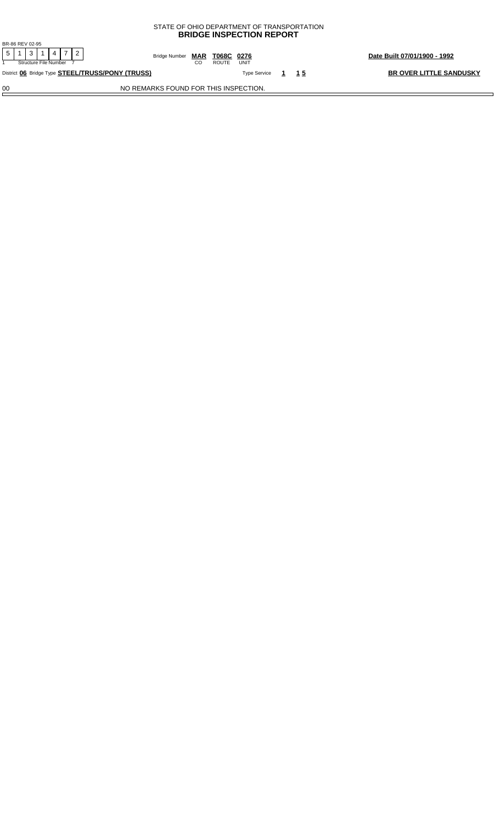| <b>BRIDGE INSPECTION REPORT</b>                  |                                       |                             |                                |  |  |  |  |  |  |
|--------------------------------------------------|---------------------------------------|-----------------------------|--------------------------------|--|--|--|--|--|--|
| BR-86 REV 02-95                                  |                                       |                             |                                |  |  |  |  |  |  |
| Structure File Number                            | Date Built 07/01/1900 - 1992          |                             |                                |  |  |  |  |  |  |
| District 06 Bridge Type STEEL/TRUSS/PONY (TRUSS) |                                       | <b>Type Service</b><br>1 15 | <b>BR OVER LITTLE SANDUSKY</b> |  |  |  |  |  |  |
| 00                                               | NO REMARKS FOUND FOR THIS INSPECTION. |                             |                                |  |  |  |  |  |  |

STATE OF OHIO DEPARTMENT OF TRANSPORTATION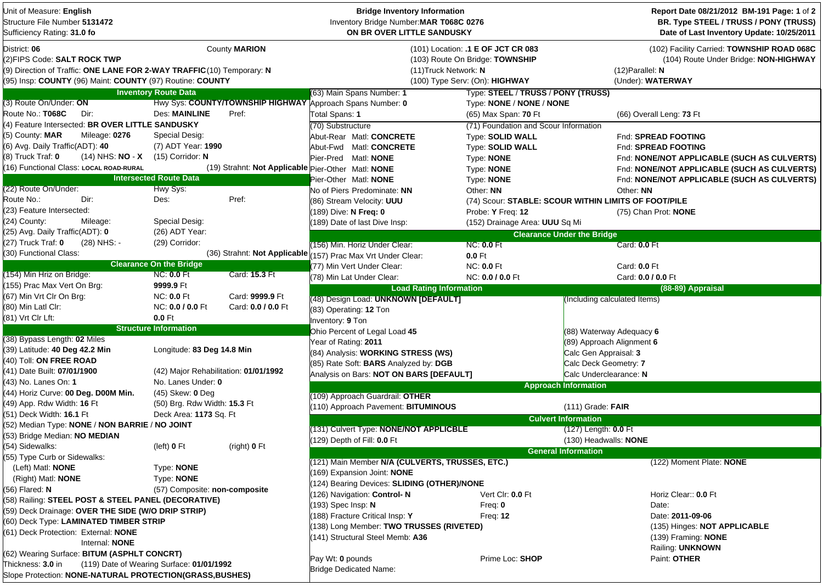| Unit of Measure: English<br>Structure File Number 5131472<br>Sufficiency Rating: 31.0 fo                                                                                           |                                           |                      | <b>Bridge Inventory Information</b><br>Inventory Bridge Number: MAR T068C 0276<br>ON BR OVER LITTLE SANDUSKY |                                                                                                         |                                   | Report Date 08/21/2012 BM-191 Page: 1 of 2<br>BR. Type STEEL / TRUSS / PONY (TRUSS)<br>Date of Last Inventory Update: 10/25/2011 |  |  |
|------------------------------------------------------------------------------------------------------------------------------------------------------------------------------------|-------------------------------------------|----------------------|--------------------------------------------------------------------------------------------------------------|---------------------------------------------------------------------------------------------------------|-----------------------------------|----------------------------------------------------------------------------------------------------------------------------------|--|--|
| District: 06<br>(2)FIPS Code: SALT ROCK TWP<br>(9) Direction of Traffic: ONE LANE FOR 2-WAY TRAFFIC (10) Temporary: N<br>(95) Insp: COUNTY (96) Maint: COUNTY (97) Routine: COUNTY |                                           | County <b>MARION</b> | (11) Truck Network: N                                                                                        | (101) Location: .1 E OF JCT CR 083<br>(103) Route On Bridge: TOWNSHIP<br>(100) Type Serv: (On): HIGHWAY |                                   | (102) Facility Carried: TOWNSHIP ROAD 068C<br>(104) Route Under Bridge: NON-HIGHWAY<br>$(12)$ Parallel: N<br>(Under): WATERWAY   |  |  |
|                                                                                                                                                                                    | <b>Inventory Route Data</b>               |                      | (63) Main Spans Number: 1                                                                                    | Type: STEEL / TRUSS / PONY (TRUSS)                                                                      |                                   |                                                                                                                                  |  |  |
| (3) Route On/Under: ON                                                                                                                                                             |                                           |                      | Hwy Sys: COUNTY/TOWNSHIP HIGHWAY Approach Spans Number: 0<br>Type: NONE / NONE / NONE                        |                                                                                                         |                                   |                                                                                                                                  |  |  |
| Route No.: T068C<br>Dir:                                                                                                                                                           | <b>Des: MAINLINE</b>                      | Pref:                | Total Spans: 1                                                                                               | (65) Max Span: 70 Ft                                                                                    |                                   | (66) Overall Leng: 73 Ft                                                                                                         |  |  |
| (4) Feature Intersected: BR OVER LITTLE SANDUSKY                                                                                                                                   |                                           |                      | (70) Substructure                                                                                            | (71) Foundation and Scour Information                                                                   |                                   |                                                                                                                                  |  |  |
| (5) County: MAR<br>Mileage: 0276                                                                                                                                                   | Special Desig:                            |                      | Abut-Rear Matl: CONCRETE                                                                                     | <b>Type: SOLID WALL</b>                                                                                 |                                   | Fnd: SPREAD FOOTING                                                                                                              |  |  |
| (6) Avg. Daily Traffic(ADT): 40                                                                                                                                                    | (7) ADT Year: 1990                        |                      | Abut-Fwd Matl: CONCRETE                                                                                      | Type: SOLID WALL                                                                                        |                                   | Fnd: SPREAD FOOTING                                                                                                              |  |  |
| (14) NHS: <b>NO</b> - <b>X</b><br>(8) Truck Traf: <b>0</b>                                                                                                                         | $(15)$ Corridor: N                        |                      | Pier-Pred Matl: NONE                                                                                         | Type: <b>NONE</b>                                                                                       |                                   | Fnd: NONE/NOT APPLICABLE (SUCH AS CULVERTS)                                                                                      |  |  |
| (16) Functional Class: LOCAL ROAD-RURAL                                                                                                                                            |                                           |                      | (19) Strahnt: Not Applicable Pier-Other Matl: NONE                                                           | Type: NONE                                                                                              |                                   | Fnd: NONE/NOT APPLICABLE (SUCH AS CULVERTS)                                                                                      |  |  |
|                                                                                                                                                                                    | <b>Intersected Route Data</b>             |                      | Pier-Other Matl: NONE                                                                                        | Type: NONE                                                                                              |                                   | Fnd: NONE/NOT APPLICABLE (SUCH AS CULVERTS)                                                                                      |  |  |
| (22) Route On/Under:                                                                                                                                                               | Hwy Sys:                                  |                      | No of Piers Predominate: NN                                                                                  | Other: NN                                                                                               |                                   | Other: NN                                                                                                                        |  |  |
| Route No.:<br>Dir:                                                                                                                                                                 | Des:                                      | Pref:                | (86) Stream Velocity: UUU                                                                                    | (74) Scour: STABLE: SCOUR WITHIN LIMITS OF FOOT/PILE                                                    |                                   |                                                                                                                                  |  |  |
| (23) Feature Intersected:                                                                                                                                                          |                                           |                      | (189) Dive: N Freq: 0                                                                                        | Probe: Y Freq: 12                                                                                       |                                   | (75) Chan Prot: NONE                                                                                                             |  |  |
| (24) County:<br>Mileage:                                                                                                                                                           | Special Desig:                            |                      | (189) Date of last Dive Insp:                                                                                | (152) Drainage Area: UUU Sq Mi                                                                          |                                   |                                                                                                                                  |  |  |
| (25) Avg. Daily Traffic(ADT): 0                                                                                                                                                    | (26) ADT Year:                            |                      |                                                                                                              |                                                                                                         | <b>Clearance Under the Bridge</b> |                                                                                                                                  |  |  |
| (27) Truck Traf: 0<br>(28) NHS: -                                                                                                                                                  | (29) Corridor:                            |                      | (156) Min. Horiz Under Clear:                                                                                | <b>NC: 0.0 Ft</b>                                                                                       |                                   | Card: 0.0 Ft                                                                                                                     |  |  |
| (30) Functional Class:                                                                                                                                                             |                                           |                      | (36) Strahnt: Not Applicable (157) Prac Max Vrt Under Clear:                                                 | $0.0$ Ft                                                                                                |                                   |                                                                                                                                  |  |  |
|                                                                                                                                                                                    | <b>Clearance On the Bridge</b>            |                      | (77) Min Vert Under Clear:                                                                                   | <b>NC: 0.0 Ft</b>                                                                                       |                                   | Card: 0.0 Ft                                                                                                                     |  |  |
|                                                                                                                                                                                    |                                           |                      | (78) Min Lat Under Clear:                                                                                    | NC: 0.0 / 0.0 Ft                                                                                        |                                   | Card: 0.0 / 0.0 Ft                                                                                                               |  |  |
| <b>NC: 0.0 Ft</b><br>Card: 15.3 Ft<br>(154) Min Hriz on Bridge:<br>(155) Prac Max Vert On Brg:<br>9999.9 Ft<br>(67) Min Vrt Clr On Brg:<br><b>NC: 0.0 Ft</b><br>Card: 9999.9 Ft    |                                           |                      | <b>Load Rating Information</b>                                                                               |                                                                                                         |                                   | (88-89) Appraisal                                                                                                                |  |  |
|                                                                                                                                                                                    |                                           |                      | (48) Design Load: UNKNOWN [DEFAULT]                                                                          |                                                                                                         | (Including calculated Items)      |                                                                                                                                  |  |  |
| (80) Min Latl Clr:<br>(81) Vrt Clr Lft:                                                                                                                                            | NC: 0.0 / 0.0 Ft<br>$0.0$ Ft              | Card: 0.0 / 0.0 Ft   | (83) Operating: 12 Ton                                                                                       |                                                                                                         |                                   |                                                                                                                                  |  |  |
|                                                                                                                                                                                    | <b>Structure Information</b>              |                      | Inventory: 9 Ton                                                                                             |                                                                                                         |                                   |                                                                                                                                  |  |  |
| (38) Bypass Length: 02 Miles                                                                                                                                                       |                                           |                      | Ohio Percent of Legal Load 45                                                                                |                                                                                                         | (88) Waterway Adequacy 6          |                                                                                                                                  |  |  |
| (39) Latitude: 40 Deg 42.2 Min                                                                                                                                                     | Longitude: 83 Deg 14.8 Min                |                      | Year of Rating: 2011                                                                                         |                                                                                                         | (89) Approach Alignment 6         |                                                                                                                                  |  |  |
| (40) Toll: ON FREE ROAD                                                                                                                                                            |                                           |                      | (84) Analysis: WORKING STRESS (WS)                                                                           |                                                                                                         | Calc Gen Appraisal: 3             |                                                                                                                                  |  |  |
| (41) Date Built: 07/01/1900                                                                                                                                                        | (42) Major Rehabilitation: 01/01/1992     |                      | (85) Rate Soft: BARS Analyzed by: DGB                                                                        |                                                                                                         | Calc Deck Geometry: 7             |                                                                                                                                  |  |  |
| (43)  No. Lanes On: <b>1</b>                                                                                                                                                       | No. Lanes Under: 0                        |                      | Analysis on Bars: NOT ON BARS [DEFAULT]                                                                      |                                                                                                         | Calc Underclearance: N            |                                                                                                                                  |  |  |
| (44) Horiz Curve: 00 Deg. D00M Min.                                                                                                                                                | $(45)$ Skew: 0 Deg                        |                      |                                                                                                              |                                                                                                         | <b>Approach Information</b>       |                                                                                                                                  |  |  |
| (49) App. Rdw Width: 16 Ft                                                                                                                                                         | (50) Brg. Rdw Width: 15.3 Ft              |                      | (109) Approach Guardrail: OTHER                                                                              |                                                                                                         |                                   |                                                                                                                                  |  |  |
| (51) Deck Width: 16.1 Ft                                                                                                                                                           | Deck Area: 1173 Sq. Ft                    |                      | (110) Approach Pavement: BITUMINOUS                                                                          |                                                                                                         | $(111)$ Grade: FAIR               |                                                                                                                                  |  |  |
| (52) Median Type: NONE / NON BARRIE / NO JOINT                                                                                                                                     |                                           |                      |                                                                                                              |                                                                                                         | <b>Culvert Information</b>        |                                                                                                                                  |  |  |
| (53) Bridge Median: NO MEDIAN                                                                                                                                                      |                                           |                      | (131) Culvert Type: NONE/NOT APPLICBLE                                                                       |                                                                                                         | (127) Length: 0.0 Ft              |                                                                                                                                  |  |  |
| (54) Sidewalks:                                                                                                                                                                    | (left) 0 Ft                               | (right) 0 Ft         | (129) Depth of Fill: 0.0 Ft                                                                                  |                                                                                                         |                                   | (130) Headwalls: <b>NONE</b>                                                                                                     |  |  |
| (55) Type Curb or Sidewalks:                                                                                                                                                       |                                           |                      |                                                                                                              |                                                                                                         | <b>General Information</b>        |                                                                                                                                  |  |  |
| (Left) Matl: <b>NONE</b>                                                                                                                                                           | Type: NONE                                |                      | (121) Main Member N/A (CULVERTS, TRUSSES, ETC.)                                                              |                                                                                                         |                                   | (122) Moment Plate: NONE                                                                                                         |  |  |
| (Right) Matl: <b>NONE</b>                                                                                                                                                          | Type: NONE                                |                      | (169) Expansion Joint: NONE                                                                                  |                                                                                                         |                                   |                                                                                                                                  |  |  |
| (56) Flared: N                                                                                                                                                                     | (57) Composite: non-composite             |                      | (124) Bearing Devices: SLIDING (OTHER)/NONE                                                                  |                                                                                                         |                                   |                                                                                                                                  |  |  |
| (58) Railing: STEEL POST & STEEL PANEL (DECORATIVE)                                                                                                                                |                                           |                      | (126) Navigation: Control-N                                                                                  | Vert Clr: 0.0 Ft                                                                                        |                                   | Horiz Clear:: 0.0 Ft                                                                                                             |  |  |
| (59) Deck Drainage: OVER THE SIDE (W/O DRIP STRIP)                                                                                                                                 |                                           |                      | (193) Spec Insp: N                                                                                           | Freq: 0                                                                                                 |                                   | Date:                                                                                                                            |  |  |
| (60) Deck Type: LAMINATED TIMBER STRIP                                                                                                                                             |                                           |                      | (188) Fracture Critical Insp: Y                                                                              | <b>Freq: 12</b>                                                                                         |                                   | Date: 2011-09-06                                                                                                                 |  |  |
| (61) Deck Protection: External: NONE                                                                                                                                               |                                           |                      | (138) Long Member: TWO TRUSSES (RIVETED)                                                                     |                                                                                                         |                                   | (135) Hinges: NOT APPLICABLE                                                                                                     |  |  |
| Internal: NONE                                                                                                                                                                     |                                           |                      | (141) Structural Steel Memb: A36                                                                             |                                                                                                         |                                   | (139) Framing: NONE                                                                                                              |  |  |
| (62) Wearing Surface: BITUM (ASPHLT CONCRT)                                                                                                                                        |                                           |                      |                                                                                                              |                                                                                                         |                                   | Railing: UNKNOWN                                                                                                                 |  |  |
| Thickness: 3.0 in                                                                                                                                                                  | (119) Date of Wearing Surface: 01/01/1992 |                      | Pay Wt: 0 pounds<br><b>Bridge Dedicated Name:</b>                                                            | Prime Loc: SHOP                                                                                         |                                   | Paint: OTHER                                                                                                                     |  |  |
| Slope Protection: NONE-NATURAL PROTECTION(GRASS, BUSHES)                                                                                                                           |                                           |                      |                                                                                                              |                                                                                                         |                                   |                                                                                                                                  |  |  |